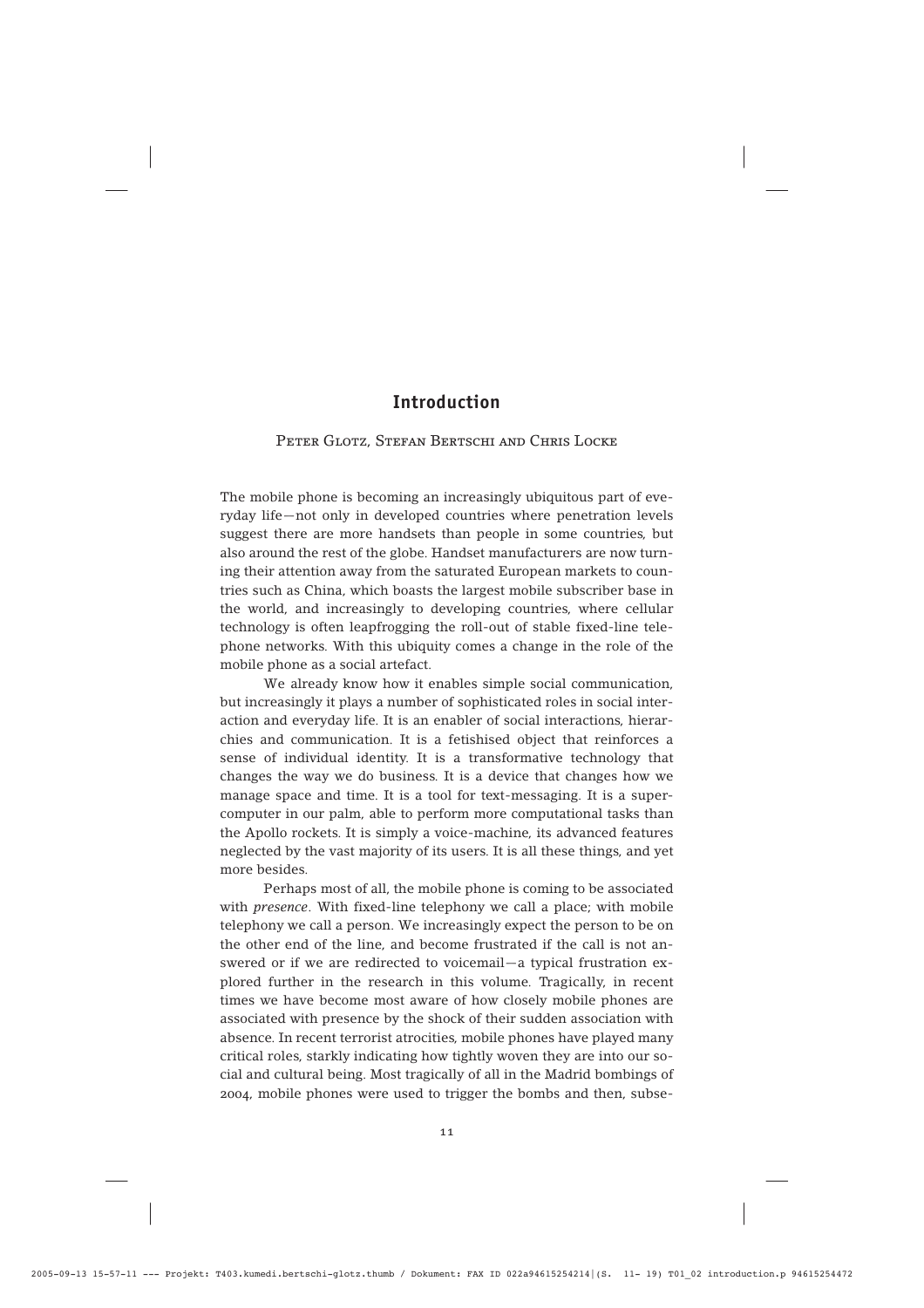## **Introduction**

## Peter Glotz, Stefan Bertschi and Chris Locke

The mobile phone is becoming an increasingly ubiquitous part of everyday life—not only in developed countries where penetration levels suggest there are more handsets than people in some countries, but also around the rest of the globe. Handset manufacturers are now turning their attention away from the saturated European markets to countries such as China, which boasts the largest mobile subscriber base in the world, and increasingly to developing countries, where cellular technology is often leapfrogging the roll-out of stable fixed-line telephone networks. With this ubiquity comes a change in the role of the mobile phone as a social artefact.

 We already know how it enables simple social communication, but increasingly it plays a number of sophisticated roles in social interaction and everyday life. It is an enabler of social interactions, hierarchies and communication. It is a fetishised object that reinforces a sense of individual identity. It is a transformative technology that changes the way we do business. It is a device that changes how we manage space and time. It is a tool for text-messaging. It is a supercomputer in our palm, able to perform more computational tasks than the Apollo rockets. It is simply a voice-machine, its advanced features neglected by the vast majority of its users. It is all these things, and yet more besides.

 Perhaps most of all, the mobile phone is coming to be associated with *presence*. With fixed-line telephony we call a place; with mobile telephony we call a person. We increasingly expect the person to be on the other end of the line, and become frustrated if the call is not answered or if we are redirected to voicemail—a typical frustration explored further in the research in this volume. Tragically, in recent times we have become most aware of how closely mobile phones are associated with presence by the shock of their sudden association with absence. In recent terrorist atrocities, mobile phones have played many critical roles, starkly indicating how tightly woven they are into our social and cultural being. Most tragically of all in the Madrid bombings of 2004, mobile phones were used to trigger the bombs and then, subse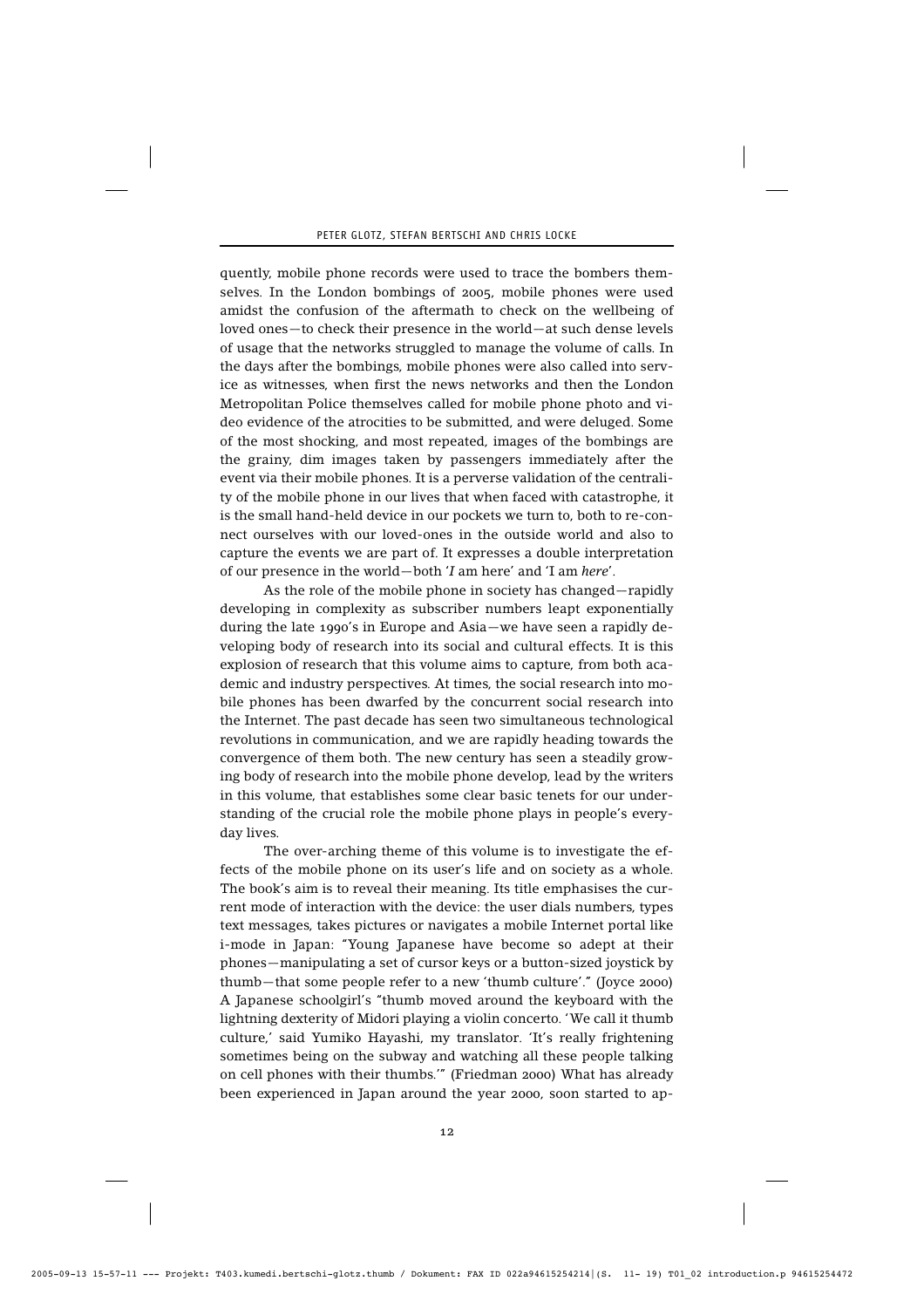quently, mobile phone records were used to trace the bombers themselves. In the London bombings of 2005, mobile phones were used amidst the confusion of the aftermath to check on the wellbeing of loved ones—to check their presence in the world—at such dense levels of usage that the networks struggled to manage the volume of calls. In the days after the bombings, mobile phones were also called into service as witnesses, when first the news networks and then the London Metropolitan Police themselves called for mobile phone photo and video evidence of the atrocities to be submitted, and were deluged. Some of the most shocking, and most repeated, images of the bombings are the grainy, dim images taken by passengers immediately after the event via their mobile phones. It is a perverse validation of the centrality of the mobile phone in our lives that when faced with catastrophe, it is the small hand-held device in our pockets we turn to, both to re-connect ourselves with our loved-ones in the outside world and also to capture the events we are part of. It expresses a double interpretation of our presence in the world—both '*I* am here' and 'I am *here*'.

 As the role of the mobile phone in society has changed—rapidly developing in complexity as subscriber numbers leapt exponentially during the late 1990's in Europe and Asia—we have seen a rapidly developing body of research into its social and cultural effects. It is this explosion of research that this volume aims to capture, from both academic and industry perspectives. At times, the social research into mobile phones has been dwarfed by the concurrent social research into the Internet. The past decade has seen two simultaneous technological revolutions in communication, and we are rapidly heading towards the convergence of them both. The new century has seen a steadily growing body of research into the mobile phone develop, lead by the writers in this volume, that establishes some clear basic tenets for our understanding of the crucial role the mobile phone plays in people's everyday lives.

 The over-arching theme of this volume is to investigate the effects of the mobile phone on its user's life and on society as a whole. The book's aim is to reveal their meaning. Its title emphasises the current mode of interaction with the device: the user dials numbers, types text messages, takes pictures or navigates a mobile Internet portal like i-mode in Japan: "Young Japanese have become so adept at their phones—manipulating a set of cursor keys or a button-sized joystick by thumb—that some people refer to a new 'thumb culture'." (Joyce 2000) A Japanese schoolgirl's "thumb moved around the keyboard with the lightning dexterity of Midori playing a violin concerto. 'We call it thumb culture,' said Yumiko Hayashi, my translator. 'It's really frightening sometimes being on the subway and watching all these people talking on cell phones with their thumbs.'" (Friedman 2000) What has already been experienced in Japan around the year 2000, soon started to ap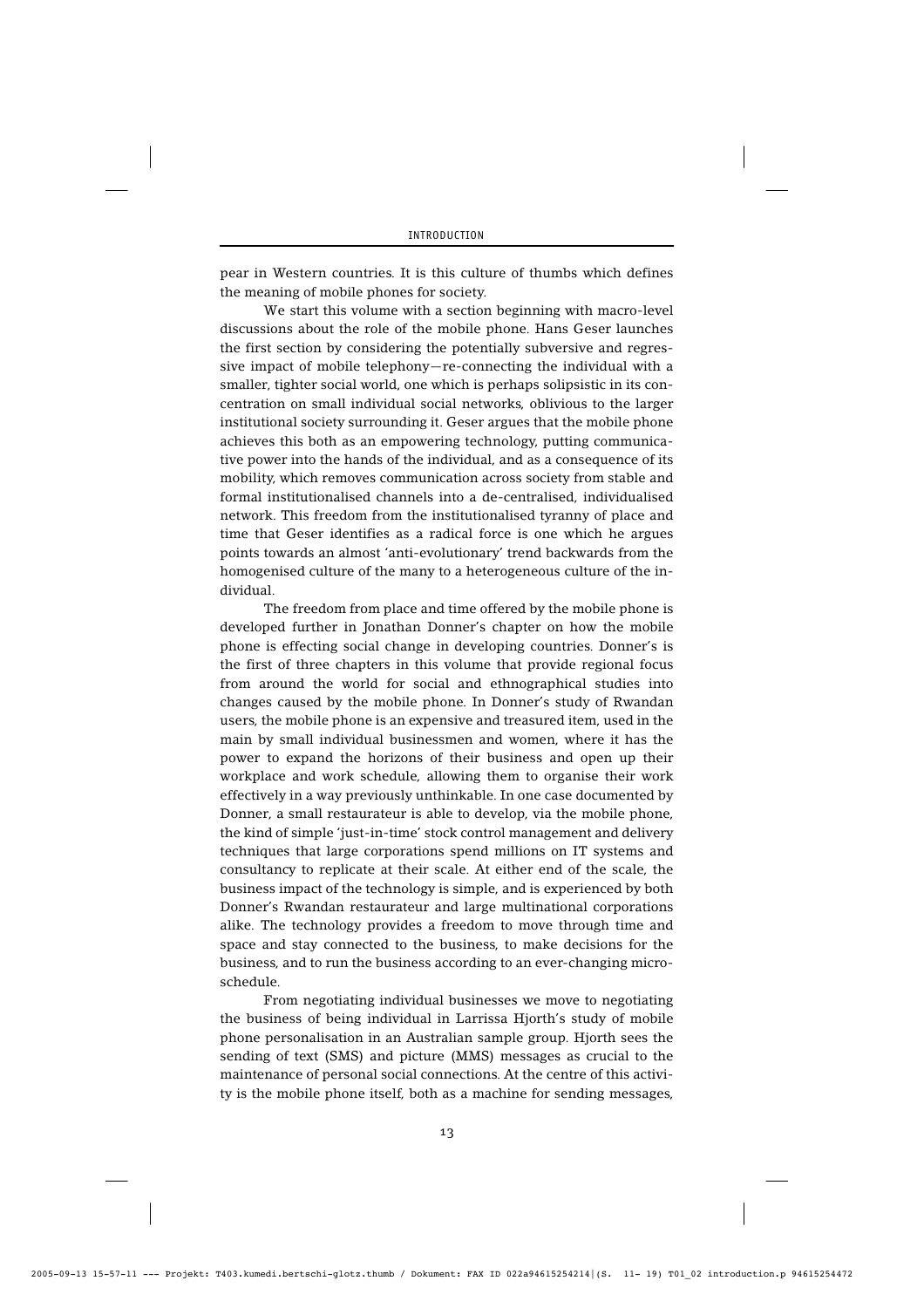pear in Western countries. It is this culture of thumbs which defines the meaning of mobile phones for society.

 We start this volume with a section beginning with macro-level discussions about the role of the mobile phone. Hans Geser launches the first section by considering the potentially subversive and regressive impact of mobile telephony—re-connecting the individual with a smaller, tighter social world, one which is perhaps solipsistic in its concentration on small individual social networks, oblivious to the larger institutional society surrounding it. Geser argues that the mobile phone achieves this both as an empowering technology, putting communicative power into the hands of the individual, and as a consequence of its mobility, which removes communication across society from stable and formal institutionalised channels into a de-centralised, individualised network. This freedom from the institutionalised tyranny of place and time that Geser identifies as a radical force is one which he argues points towards an almost 'anti-evolutionary' trend backwards from the homogenised culture of the many to a heterogeneous culture of the individual.

 The freedom from place and time offered by the mobile phone is developed further in Jonathan Donner's chapter on how the mobile phone is effecting social change in developing countries. Donner's is the first of three chapters in this volume that provide regional focus from around the world for social and ethnographical studies into changes caused by the mobile phone. In Donner's study of Rwandan users, the mobile phone is an expensive and treasured item, used in the main by small individual businessmen and women, where it has the power to expand the horizons of their business and open up their workplace and work schedule, allowing them to organise their work effectively in a way previously unthinkable. In one case documented by Donner, a small restaurateur is able to develop, via the mobile phone, the kind of simple 'just-in-time' stock control management and delivery techniques that large corporations spend millions on IT systems and consultancy to replicate at their scale. At either end of the scale, the business impact of the technology is simple, and is experienced by both Donner's Rwandan restaurateur and large multinational corporations alike. The technology provides a freedom to move through time and space and stay connected to the business, to make decisions for the business, and to run the business according to an ever-changing microschedule.

 From negotiating individual businesses we move to negotiating the business of being individual in Larrissa Hjorth's study of mobile phone personalisation in an Australian sample group. Hjorth sees the sending of text (SMS) and picture (MMS) messages as crucial to the maintenance of personal social connections. At the centre of this activity is the mobile phone itself, both as a machine for sending messages,

13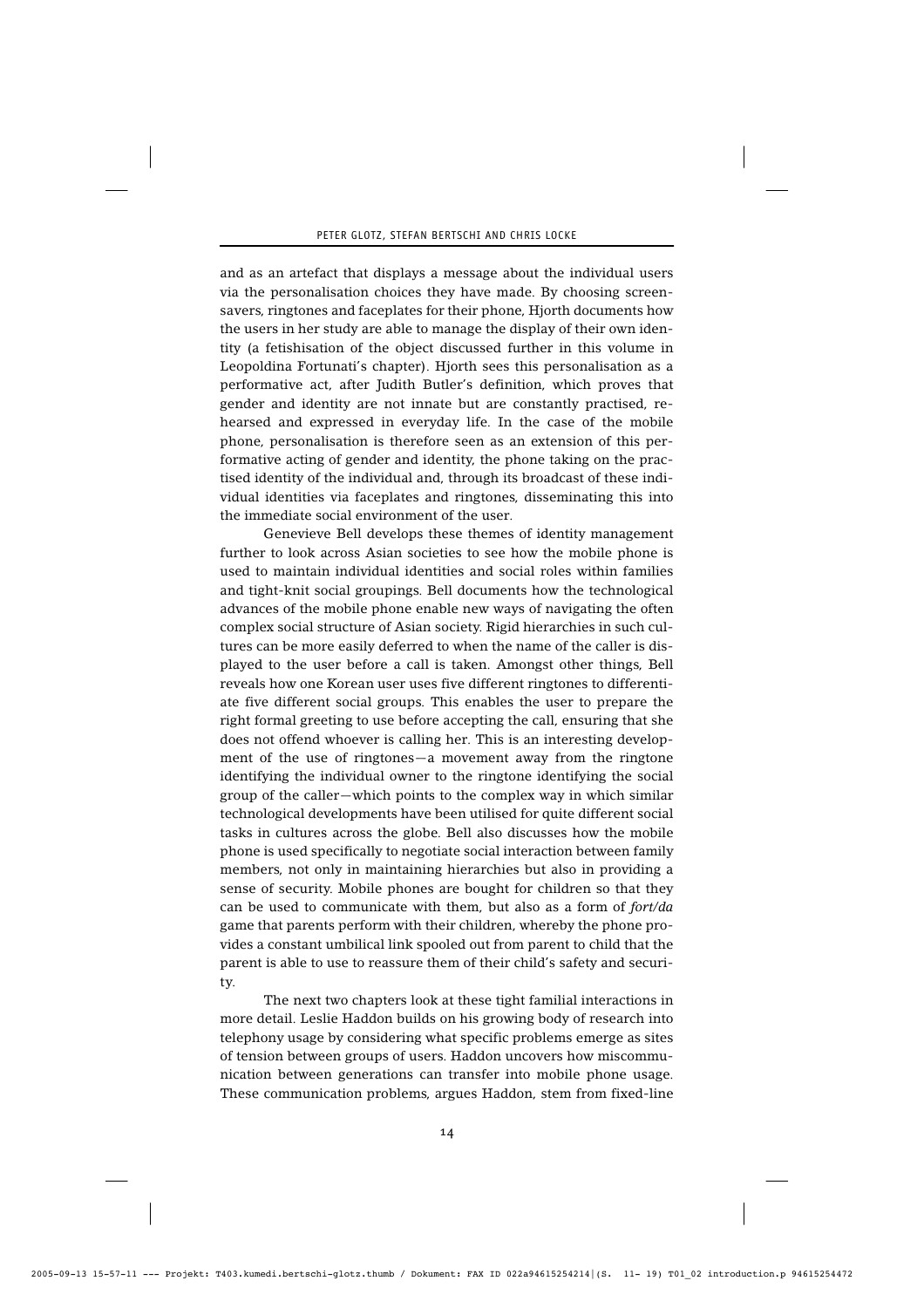and as an artefact that displays a message about the individual users via the personalisation choices they have made. By choosing screensavers, ringtones and faceplates for their phone, Hjorth documents how the users in her study are able to manage the display of their own identity (a fetishisation of the object discussed further in this volume in Leopoldina Fortunati's chapter). Hjorth sees this personalisation as a performative act, after Judith Butler's definition, which proves that gender and identity are not innate but are constantly practised, rehearsed and expressed in everyday life. In the case of the mobile phone, personalisation is therefore seen as an extension of this performative acting of gender and identity, the phone taking on the practised identity of the individual and, through its broadcast of these individual identities via faceplates and ringtones, disseminating this into the immediate social environment of the user.

 Genevieve Bell develops these themes of identity management further to look across Asian societies to see how the mobile phone is used to maintain individual identities and social roles within families and tight-knit social groupings. Bell documents how the technological advances of the mobile phone enable new ways of navigating the often complex social structure of Asian society. Rigid hierarchies in such cultures can be more easily deferred to when the name of the caller is displayed to the user before a call is taken. Amongst other things, Bell reveals how one Korean user uses five different ringtones to differentiate five different social groups. This enables the user to prepare the right formal greeting to use before accepting the call, ensuring that she does not offend whoever is calling her. This is an interesting development of the use of ringtones—a movement away from the ringtone identifying the individual owner to the ringtone identifying the social group of the caller—which points to the complex way in which similar technological developments have been utilised for quite different social tasks in cultures across the globe. Bell also discusses how the mobile phone is used specifically to negotiate social interaction between family members, not only in maintaining hierarchies but also in providing a sense of security. Mobile phones are bought for children so that they can be used to communicate with them, but also as a form of *fort/da* game that parents perform with their children, whereby the phone provides a constant umbilical link spooled out from parent to child that the parent is able to use to reassure them of their child's safety and security.

 The next two chapters look at these tight familial interactions in more detail. Leslie Haddon builds on his growing body of research into telephony usage by considering what specific problems emerge as sites of tension between groups of users. Haddon uncovers how miscommunication between generations can transfer into mobile phone usage. These communication problems, argues Haddon, stem from fixed-line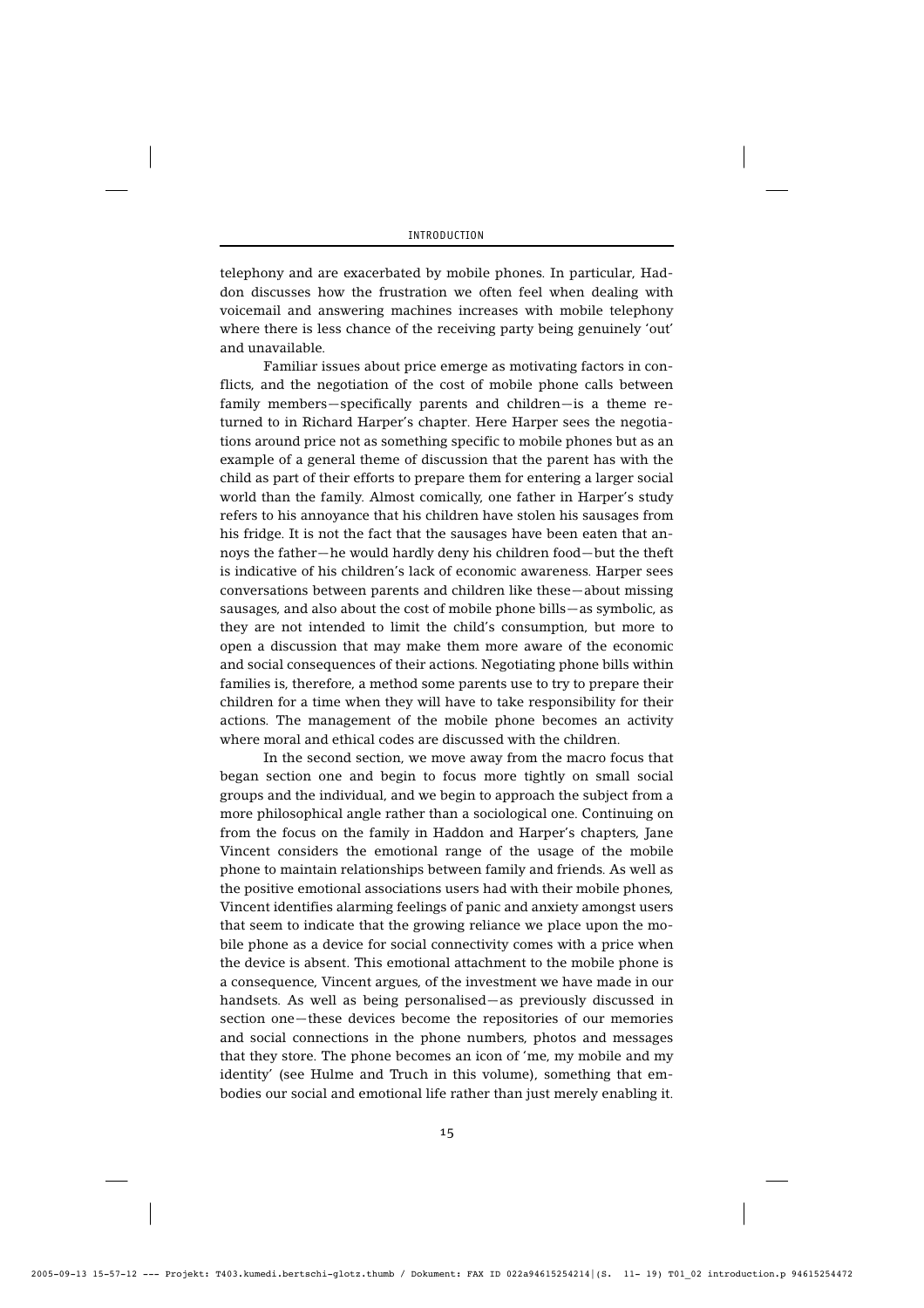telephony and are exacerbated by mobile phones. In particular, Haddon discusses how the frustration we often feel when dealing with voicemail and answering machines increases with mobile telephony where there is less chance of the receiving party being genuinely 'out' and unavailable.

 Familiar issues about price emerge as motivating factors in conflicts, and the negotiation of the cost of mobile phone calls between family members—specifically parents and children—is a theme returned to in Richard Harper's chapter. Here Harper sees the negotiations around price not as something specific to mobile phones but as an example of a general theme of discussion that the parent has with the child as part of their efforts to prepare them for entering a larger social world than the family. Almost comically, one father in Harper's study refers to his annoyance that his children have stolen his sausages from his fridge. It is not the fact that the sausages have been eaten that annoys the father—he would hardly deny his children food—but the theft is indicative of his children's lack of economic awareness. Harper sees conversations between parents and children like these—about missing sausages, and also about the cost of mobile phone bills—as symbolic, as they are not intended to limit the child's consumption, but more to open a discussion that may make them more aware of the economic and social consequences of their actions. Negotiating phone bills within families is, therefore, a method some parents use to try to prepare their children for a time when they will have to take responsibility for their actions. The management of the mobile phone becomes an activity where moral and ethical codes are discussed with the children.

 In the second section, we move away from the macro focus that began section one and begin to focus more tightly on small social groups and the individual, and we begin to approach the subject from a more philosophical angle rather than a sociological one. Continuing on from the focus on the family in Haddon and Harper's chapters, Jane Vincent considers the emotional range of the usage of the mobile phone to maintain relationships between family and friends. As well as the positive emotional associations users had with their mobile phones, Vincent identifies alarming feelings of panic and anxiety amongst users that seem to indicate that the growing reliance we place upon the mobile phone as a device for social connectivity comes with a price when the device is absent. This emotional attachment to the mobile phone is a consequence, Vincent argues, of the investment we have made in our handsets. As well as being personalised—as previously discussed in section one—these devices become the repositories of our memories and social connections in the phone numbers, photos and messages that they store. The phone becomes an icon of 'me, my mobile and my identity' (see Hulme and Truch in this volume), something that embodies our social and emotional life rather than just merely enabling it.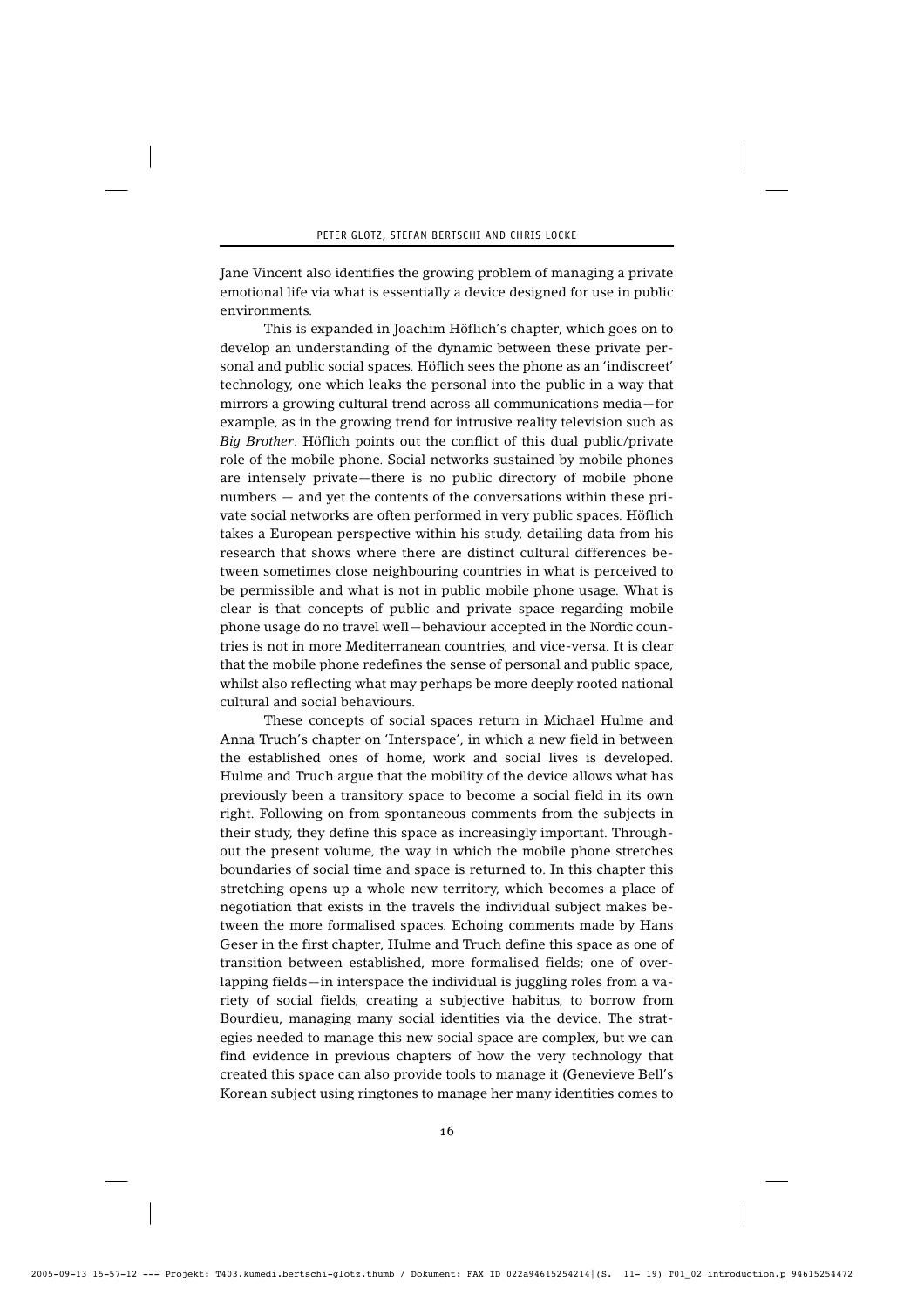Jane Vincent also identifies the growing problem of managing a private emotional life via what is essentially a device designed for use in public environments.

 This is expanded in Joachim Höflich's chapter, which goes on to develop an understanding of the dynamic between these private personal and public social spaces. Höflich sees the phone as an 'indiscreet' technology, one which leaks the personal into the public in a way that mirrors a growing cultural trend across all communications media—for example, as in the growing trend for intrusive reality television such as *Big Brother*. Höflich points out the conflict of this dual public/private role of the mobile phone. Social networks sustained by mobile phones are intensely private—there is no public directory of mobile phone numbers — and yet the contents of the conversations within these private social networks are often performed in very public spaces. Höflich takes a European perspective within his study, detailing data from his research that shows where there are distinct cultural differences between sometimes close neighbouring countries in what is perceived to be permissible and what is not in public mobile phone usage. What is clear is that concepts of public and private space regarding mobile phone usage do no travel well—behaviour accepted in the Nordic countries is not in more Mediterranean countries, and vice-versa. It is clear that the mobile phone redefines the sense of personal and public space, whilst also reflecting what may perhaps be more deeply rooted national cultural and social behaviours.

 These concepts of social spaces return in Michael Hulme and Anna Truch's chapter on 'Interspace', in which a new field in between the established ones of home, work and social lives is developed. Hulme and Truch argue that the mobility of the device allows what has previously been a transitory space to become a social field in its own right. Following on from spontaneous comments from the subjects in their study, they define this space as increasingly important. Throughout the present volume, the way in which the mobile phone stretches boundaries of social time and space is returned to. In this chapter this stretching opens up a whole new territory, which becomes a place of negotiation that exists in the travels the individual subject makes between the more formalised spaces. Echoing comments made by Hans Geser in the first chapter, Hulme and Truch define this space as one of transition between established, more formalised fields; one of overlapping fields—in interspace the individual is juggling roles from a variety of social fields, creating a subjective habitus, to borrow from Bourdieu, managing many social identities via the device. The strategies needed to manage this new social space are complex, but we can find evidence in previous chapters of how the very technology that created this space can also provide tools to manage it (Genevieve Bell's Korean subject using ringtones to manage her many identities comes to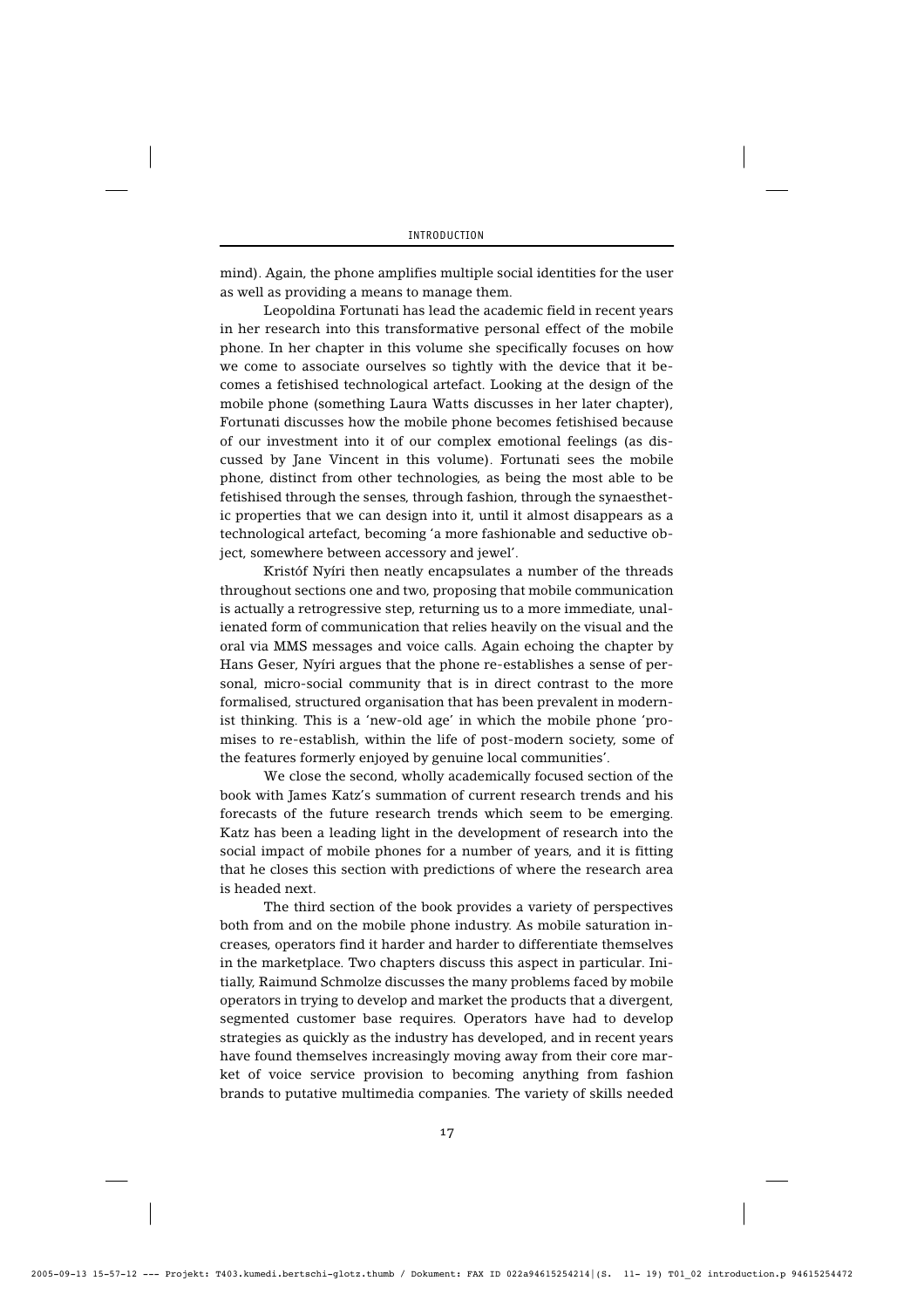mind). Again, the phone amplifies multiple social identities for the user as well as providing a means to manage them.

 Leopoldina Fortunati has lead the academic field in recent years in her research into this transformative personal effect of the mobile phone. In her chapter in this volume she specifically focuses on how we come to associate ourselves so tightly with the device that it becomes a fetishised technological artefact. Looking at the design of the mobile phone (something Laura Watts discusses in her later chapter), Fortunati discusses how the mobile phone becomes fetishised because of our investment into it of our complex emotional feelings (as discussed by Jane Vincent in this volume). Fortunati sees the mobile phone, distinct from other technologies, as being the most able to be fetishised through the senses, through fashion, through the synaesthetic properties that we can design into it, until it almost disappears as a technological artefact, becoming 'a more fashionable and seductive object, somewhere between accessory and jewel'.

 Kristóf Nyíri then neatly encapsulates a number of the threads throughout sections one and two, proposing that mobile communication is actually a retrogressive step, returning us to a more immediate, unalienated form of communication that relies heavily on the visual and the oral via MMS messages and voice calls. Again echoing the chapter by Hans Geser, Nyíri argues that the phone re-establishes a sense of personal, micro-social community that is in direct contrast to the more formalised, structured organisation that has been prevalent in modernist thinking. This is a 'new-old age' in which the mobile phone 'promises to re-establish, within the life of post-modern society, some of the features formerly enjoyed by genuine local communities'.

 We close the second, wholly academically focused section of the book with James Katz's summation of current research trends and his forecasts of the future research trends which seem to be emerging. Katz has been a leading light in the development of research into the social impact of mobile phones for a number of years, and it is fitting that he closes this section with predictions of where the research area is headed next.

 The third section of the book provides a variety of perspectives both from and on the mobile phone industry. As mobile saturation increases, operators find it harder and harder to differentiate themselves in the marketplace. Two chapters discuss this aspect in particular. Initially, Raimund Schmolze discusses the many problems faced by mobile operators in trying to develop and market the products that a divergent, segmented customer base requires. Operators have had to develop strategies as quickly as the industry has developed, and in recent years have found themselves increasingly moving away from their core market of voice service provision to becoming anything from fashion brands to putative multimedia companies. The variety of skills needed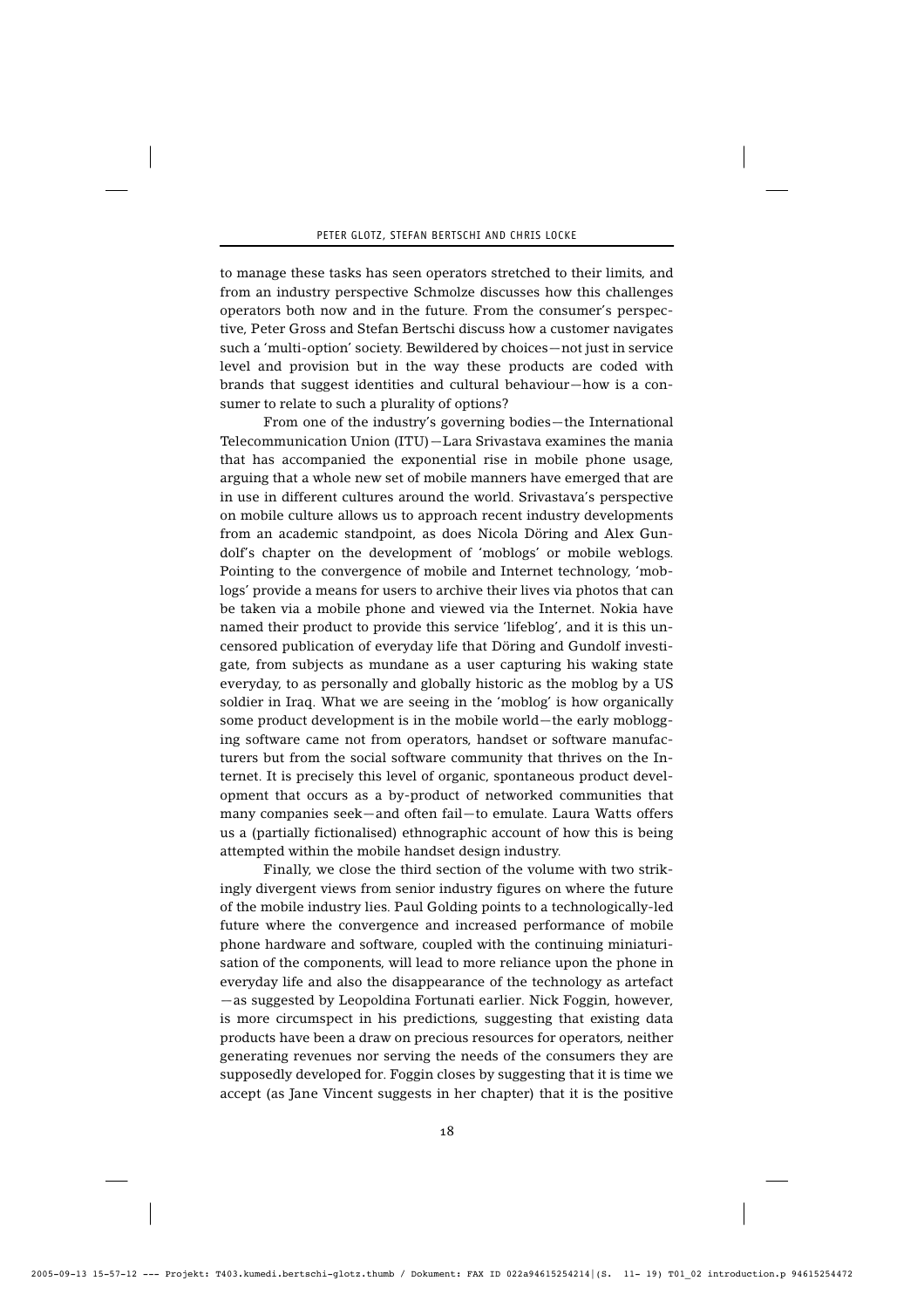to manage these tasks has seen operators stretched to their limits, and from an industry perspective Schmolze discusses how this challenges operators both now and in the future. From the consumer's perspective, Peter Gross and Stefan Bertschi discuss how a customer navigates such a 'multi-option' society. Bewildered by choices—not just in service level and provision but in the way these products are coded with brands that suggest identities and cultural behaviour—how is a consumer to relate to such a plurality of options?

 From one of the industry's governing bodies—the International Telecommunication Union (ITU)—Lara Srivastava examines the mania that has accompanied the exponential rise in mobile phone usage, arguing that a whole new set of mobile manners have emerged that are in use in different cultures around the world. Srivastava's perspective on mobile culture allows us to approach recent industry developments from an academic standpoint, as does Nicola Döring and Alex Gundolf's chapter on the development of 'moblogs' or mobile weblogs. Pointing to the convergence of mobile and Internet technology, 'moblogs' provide a means for users to archive their lives via photos that can be taken via a mobile phone and viewed via the Internet. Nokia have named their product to provide this service 'lifeblog', and it is this uncensored publication of everyday life that Döring and Gundolf investigate, from subjects as mundane as a user capturing his waking state everyday, to as personally and globally historic as the moblog by a US soldier in Iraq. What we are seeing in the 'moblog' is how organically some product development is in the mobile world—the early moblogging software came not from operators, handset or software manufacturers but from the social software community that thrives on the Internet. It is precisely this level of organic, spontaneous product development that occurs as a by-product of networked communities that many companies seek—and often fail—to emulate. Laura Watts offers us a (partially fictionalised) ethnographic account of how this is being attempted within the mobile handset design industry.

 Finally, we close the third section of the volume with two strikingly divergent views from senior industry figures on where the future of the mobile industry lies. Paul Golding points to a technologically-led future where the convergence and increased performance of mobile phone hardware and software, coupled with the continuing miniaturisation of the components, will lead to more reliance upon the phone in everyday life and also the disappearance of the technology as artefact —as suggested by Leopoldina Fortunati earlier. Nick Foggin, however, is more circumspect in his predictions, suggesting that existing data products have been a draw on precious resources for operators, neither generating revenues nor serving the needs of the consumers they are supposedly developed for. Foggin closes by suggesting that it is time we accept (as Jane Vincent suggests in her chapter) that it is the positive

18